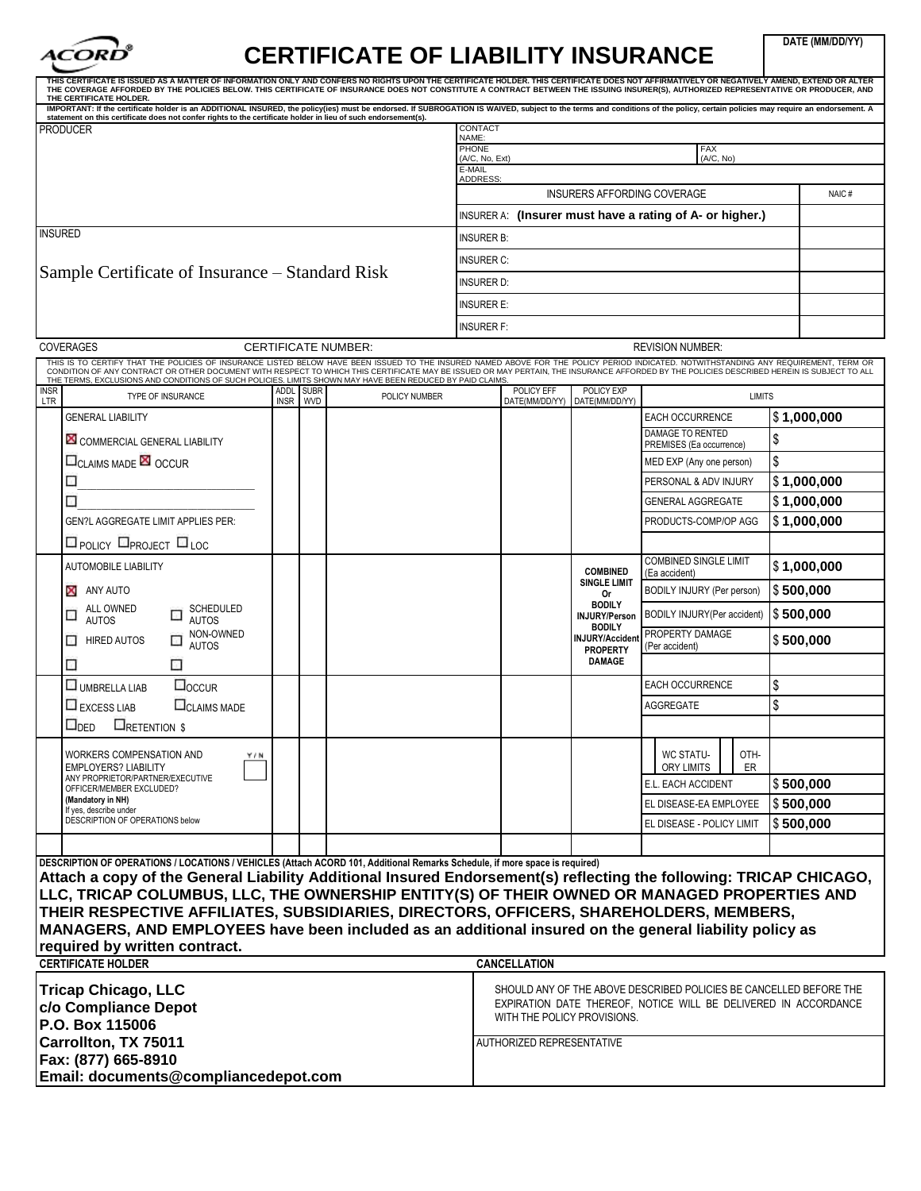

## **CERTIFICATE OF LIABILITY INSURANCE**

**DATE (MM/DD/YY)**

| THIS CERTIFICATE IS ISSUED AS A MATTER OF INFORMATION ONLY AND CONFERS NO RIGHTS UPON THE CERTIFICATE HOLDER. THIS CERTIFICATE DOES NOT AFFIRMATIVELY OR NEGATIVELY AMEND, EXTEND OR ALTER<br>THE COVERAGE AFFORDED BY THE POLICIES BELOW. THIS CERTIFICATE OF INSURANCE DOES NOT CONSTITUTE A CONTRACT BETWEEN THE ISSUING INSURER(S), AUTHORIZED REPRESENTATIVE OR PRODUCER, AND<br>THE CERTIFICATE HOLDER.                                                                                                                                        |                           |                                                          |                                |                                  |                                             |                                                                    |               |             |
|------------------------------------------------------------------------------------------------------------------------------------------------------------------------------------------------------------------------------------------------------------------------------------------------------------------------------------------------------------------------------------------------------------------------------------------------------------------------------------------------------------------------------------------------------|---------------------------|----------------------------------------------------------|--------------------------------|----------------------------------|---------------------------------------------|--------------------------------------------------------------------|---------------|-------------|
| IMPORTANT: If the certificate holder is an ADDITIONAL INSURED, the policy(ies) must be endorsed. If SUBROGATION IS WAIVED, subject to the terms and conditions of the policy, certain policies may require an endorsement. A<br>statement on this certificate does not confer rights to the certificate holder in lieu of such endorsement(s).                                                                                                                                                                                                       |                           |                                                          |                                |                                  |                                             |                                                                    |               |             |
| <b>PRODUCER</b>                                                                                                                                                                                                                                                                                                                                                                                                                                                                                                                                      |                           |                                                          | CONTACT<br>NAME:               |                                  |                                             |                                                                    |               |             |
|                                                                                                                                                                                                                                                                                                                                                                                                                                                                                                                                                      |                           |                                                          | <b>PHONE</b><br>(A/C, No, Ext) |                                  |                                             | <b>FAX</b><br>(A/C, No)                                            |               |             |
|                                                                                                                                                                                                                                                                                                                                                                                                                                                                                                                                                      |                           |                                                          | E-MAIL<br><b>ADDRESS:</b>      |                                  |                                             |                                                                    |               |             |
|                                                                                                                                                                                                                                                                                                                                                                                                                                                                                                                                                      |                           | INSURERS AFFORDING COVERAGE                              |                                |                                  |                                             |                                                                    |               |             |
|                                                                                                                                                                                                                                                                                                                                                                                                                                                                                                                                                      |                           | INSURER A: (Insurer must have a rating of A- or higher.) |                                |                                  |                                             |                                                                    |               |             |
| <b>INSURED</b>                                                                                                                                                                                                                                                                                                                                                                                                                                                                                                                                       |                           | <b>INSURER B:</b>                                        |                                |                                  |                                             |                                                                    |               |             |
|                                                                                                                                                                                                                                                                                                                                                                                                                                                                                                                                                      | <b>INSURER C:</b>         |                                                          |                                |                                  |                                             |                                                                    |               |             |
| Sample Certificate of Insurance – Standard Risk                                                                                                                                                                                                                                                                                                                                                                                                                                                                                                      |                           | insurer d:                                               |                                |                                  |                                             |                                                                    |               |             |
|                                                                                                                                                                                                                                                                                                                                                                                                                                                                                                                                                      | <b>INSURER E:</b>         |                                                          |                                |                                  |                                             |                                                                    |               |             |
|                                                                                                                                                                                                                                                                                                                                                                                                                                                                                                                                                      | <b>INSURER F:</b>         |                                                          |                                |                                  |                                             |                                                                    |               |             |
| <b>COVERAGES</b><br><b>CERTIFICATE NUMBER:</b>                                                                                                                                                                                                                                                                                                                                                                                                                                                                                                       |                           |                                                          |                                | <b>REVISION NUMBER:</b>          |                                             |                                                                    |               |             |
| THIS IS TO CERTIFY THAT THE POLICIES OF INSURANCE LISTED BELOW HAVE BEEN ISSUED TO THE INSURED NAMED ABOVE FOR THE POLICY PERIOD INDICATED. NOTWITHSTANDING ANY REQUIREMENT, TERM OR                                                                                                                                                                                                                                                                                                                                                                 |                           |                                                          |                                |                                  |                                             |                                                                    |               |             |
| CONDITION OF ANY CONTRACT OR OTHER DOCUMENT WITH RESPECT TO WHICH THIS CERTIFICATE MAY BE ISSUED OR MAY PERTAIN, THE INSURANCE AFFORDED BY THE POLICIES DESCRIBED HEREIN IS SUBJECT TO ALL<br>THE TERMS, EXCLUSIONS AND CONDITIONS OF SUCH POLICIES. LIMITS SHOWN MAY HAVE BEEN REDUCED BY PAID CLAIMS.                                                                                                                                                                                                                                              |                           |                                                          |                                |                                  |                                             |                                                                    |               |             |
| <b>INSR</b><br>ADDL<br><b>TYPE OF INSURANCE</b><br><b>LTR</b><br><b>INSR</b>                                                                                                                                                                                                                                                                                                                                                                                                                                                                         | <b>SUBR</b><br><b>WVD</b> | POLICY NUMBER                                            |                                | POLICY EFF                       | POLICY EXP<br>DATE(MM/DD/YY) DATE(MM/DD/YY) | <b>LIMITS</b>                                                      |               |             |
| <b>GENERAL LIABILITY</b>                                                                                                                                                                                                                                                                                                                                                                                                                                                                                                                             |                           |                                                          |                                |                                  |                                             | <b>EACH OCCURRENCE</b>                                             |               | \$1,000,000 |
| COMMERCIAL GENERAL LIABILITY                                                                                                                                                                                                                                                                                                                                                                                                                                                                                                                         |                           |                                                          |                                |                                  |                                             | DAMAGE TO RENTED<br>PREMISES (Ea occurrence)                       | Ι\$           |             |
| <b>ELICLAIMS MADE EQ OCCUR</b>                                                                                                                                                                                                                                                                                                                                                                                                                                                                                                                       |                           |                                                          |                                |                                  |                                             | MED EXP (Any one person)                                           | l\$           |             |
| □                                                                                                                                                                                                                                                                                                                                                                                                                                                                                                                                                    |                           |                                                          |                                |                                  |                                             | PERSONAL & ADV INJURY                                              |               | \$1,000,000 |
| □                                                                                                                                                                                                                                                                                                                                                                                                                                                                                                                                                    |                           |                                                          |                                |                                  |                                             | <b>GENERAL AGGREGATE</b>                                           |               | \$1,000,000 |
| <b>GEN?L AGGREGATE LIMIT APPLIES PER:</b>                                                                                                                                                                                                                                                                                                                                                                                                                                                                                                            |                           |                                                          |                                |                                  |                                             | PRODUCTS-COMP/OP AGG                                               |               | \$1,000,000 |
| <b>El POLICY ELPROJECT ELLOC</b>                                                                                                                                                                                                                                                                                                                                                                                                                                                                                                                     |                           |                                                          |                                |                                  |                                             |                                                                    |               |             |
| <b>AUTOMOBILE LIABILITY</b>                                                                                                                                                                                                                                                                                                                                                                                                                                                                                                                          |                           |                                                          |                                |                                  | <b>COMBINED</b>                             | <b>COMBINED SINGLE LIMIT</b><br>(Ea accident)                      |               | \$1,000,000 |
| ANY AUTO<br>x                                                                                                                                                                                                                                                                                                                                                                                                                                                                                                                                        |                           |                                                          |                                |                                  | <b>SINGLE LIMIT</b><br>0r                   | BODILY INJURY (Per person)                                         | \$500,000     |             |
| ALL OWNED<br>SCHEDULED<br>о                                                                                                                                                                                                                                                                                                                                                                                                                                                                                                                          |                           |                                                          |                                |                                  | <b>BODILY</b><br><b>INJURY/Person</b>       | BODILY INJURY(Per accident)                                        | $\$\,500,000$ |             |
| <b>AUTOS</b><br><b>AUTOS</b><br>NON-OWNED                                                                                                                                                                                                                                                                                                                                                                                                                                                                                                            |                           |                                                          |                                |                                  | <b>BODILY</b>                               | PROPERTY DAMAGE                                                    |               |             |
| <b>HIRED AUTOS</b><br>П<br>□<br><b>AUTOS</b>                                                                                                                                                                                                                                                                                                                                                                                                                                                                                                         |                           |                                                          |                                |                                  | <b>INJURY/Accident</b><br><b>PROPERTY</b>   | (Per accident)                                                     | \$500,000     |             |
| ⊡<br>u                                                                                                                                                                                                                                                                                                                                                                                                                                                                                                                                               |                           |                                                          |                                |                                  | <b>DAMAGE</b>                               |                                                                    |               |             |
| $\square$ <sub>OCCUR</sub><br>UMBRELLA LIAB                                                                                                                                                                                                                                                                                                                                                                                                                                                                                                          |                           |                                                          |                                |                                  |                                             | <b>EACH OCCURRENCE</b>                                             | \$            |             |
| EXCESS LIAB<br><b>CLAIMS MADE</b>                                                                                                                                                                                                                                                                                                                                                                                                                                                                                                                    |                           |                                                          |                                |                                  |                                             | AGGREGATE                                                          | l\$           |             |
| $\square_{\sf DED}$<br><b>ERETENTION \$</b>                                                                                                                                                                                                                                                                                                                                                                                                                                                                                                          |                           |                                                          |                                |                                  |                                             |                                                                    |               |             |
| WORKERS COMPENSATION AND<br>YIN<br><b>EMPLOYERS? LIABILITY</b>                                                                                                                                                                                                                                                                                                                                                                                                                                                                                       |                           |                                                          |                                |                                  |                                             | WC STATU-<br>OTH-<br><b>ORY LIMITS</b><br>ER                       |               |             |
| ANY PROPRIETOR/PARTNER/EXECUTIVE                                                                                                                                                                                                                                                                                                                                                                                                                                                                                                                     |                           |                                                          |                                |                                  |                                             | E.L. EACH ACCIDENT                                                 | \$500,000     |             |
| OFFICER/MEMBER EXCLUDED?<br>(Mandatory in NH)                                                                                                                                                                                                                                                                                                                                                                                                                                                                                                        |                           |                                                          |                                |                                  |                                             | EL DISEASE-EA EMPLOYEE                                             | \$500,000     |             |
| If yes, describe under<br>DESCRIPTION OF OPERATIONS below                                                                                                                                                                                                                                                                                                                                                                                                                                                                                            |                           |                                                          |                                |                                  |                                             | EL DISEASE - POLICY LIMIT                                          | \$500,000     |             |
|                                                                                                                                                                                                                                                                                                                                                                                                                                                                                                                                                      |                           |                                                          |                                |                                  |                                             |                                                                    |               |             |
| DESCRIPTION OF OPERATIONS / LOCATIONS / VEHICLES (Attach ACORD 101, Additional Remarks Schedule, if more space is required)<br>Attach a copy of the General Liability Additional Insured Endorsement(s) reflecting the following: TRICAP CHICAGO,<br>LLC, TRICAP COLUMBUS, LLC, THE OWNERSHIP ENTITY(S) OF THEIR OWNED OR MANAGED PROPERTIES AND<br>THEIR RESPECTIVE AFFILIATES, SUBSIDIARIES, DIRECTORS, OFFICERS, SHAREHOLDERS, MEMBERS,<br>MANAGERS, AND EMPLOYEES have been included as an additional insured on the general liability policy as |                           |                                                          |                                |                                  |                                             |                                                                    |               |             |
| required by written contract.                                                                                                                                                                                                                                                                                                                                                                                                                                                                                                                        |                           |                                                          |                                |                                  |                                             |                                                                    |               |             |
| <b>CERTIFICATE HOLDER</b>                                                                                                                                                                                                                                                                                                                                                                                                                                                                                                                            |                           |                                                          |                                | <b>CANCELLATION</b>              |                                             |                                                                    |               |             |
| <b>Tricap Chicago, LLC</b>                                                                                                                                                                                                                                                                                                                                                                                                                                                                                                                           |                           |                                                          |                                |                                  |                                             | SHOULD ANY OF THE ABOVE DESCRIBED POLICIES BE CANCELLED BEFORE THE |               |             |
| c/o Compliance Depot                                                                                                                                                                                                                                                                                                                                                                                                                                                                                                                                 |                           |                                                          |                                |                                  | WITH THE POLICY PROVISIONS.                 | EXPIRATION DATE THEREOF, NOTICE WILL BE DELIVERED IN ACCORDANCE    |               |             |
| P.O. Box 115006                                                                                                                                                                                                                                                                                                                                                                                                                                                                                                                                      |                           |                                                          |                                |                                  |                                             |                                                                    |               |             |
| Carrollton, TX 75011<br>Fax: (877) 665-8910                                                                                                                                                                                                                                                                                                                                                                                                                                                                                                          |                           |                                                          |                                | <b>AUTHORIZED REPRESENTATIVE</b> |                                             |                                                                    |               |             |
| Email: documents@compliancedepot.com                                                                                                                                                                                                                                                                                                                                                                                                                                                                                                                 |                           |                                                          |                                |                                  |                                             |                                                                    |               |             |
|                                                                                                                                                                                                                                                                                                                                                                                                                                                                                                                                                      |                           |                                                          |                                |                                  |                                             |                                                                    |               |             |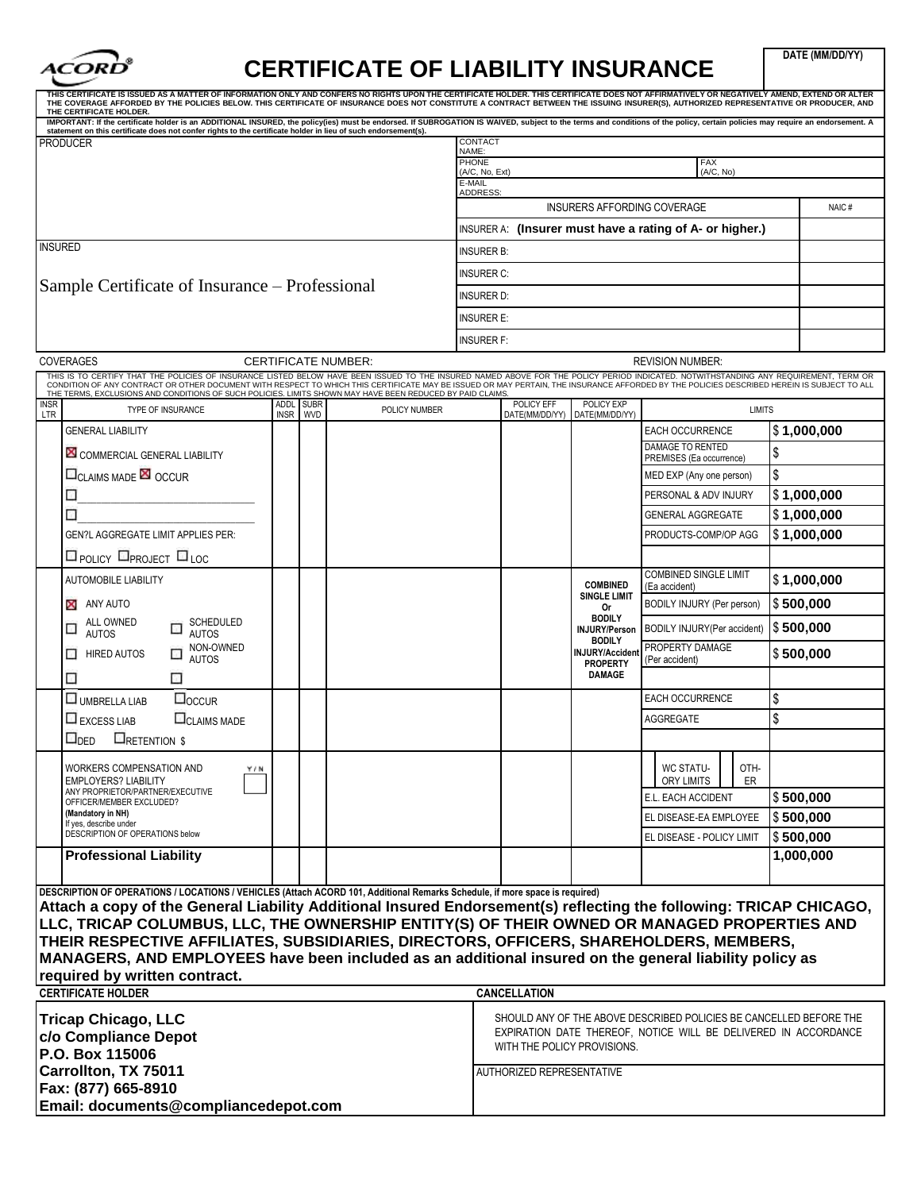

## **CERTIFICATE OF LIABILITY INSURANCE**

**DATE (MM/DD/YY)**

| THIS CERTIFICATE IS ISSUED AS A MATTER OF INFORMATION ONLY AND CONFERS NO RIGHTS UPON THE CERTIFICATE HOLDER. THIS CERTIFICATE DOES NOT AFFIRMATIVELY OR NEGATIVELY AMEND, EXTEND OR ALTER<br>THE COVERAGE AFFORDED BY THE POLICIES BELOW. THIS CERTIFICATE OF INSURANCE DOES NOT CONSTITUTE A CONTRACT BETWEEN THE ISSUING INSURER(S), AUTHORIZED REPRESENTATIVE OR PRODUCER, AND<br>THE CERTIFICATE HOLDER. |             |            |                            |                    |                                                           |                                       |                                                                    |           |               |  |  |
|---------------------------------------------------------------------------------------------------------------------------------------------------------------------------------------------------------------------------------------------------------------------------------------------------------------------------------------------------------------------------------------------------------------|-------------|------------|----------------------------|--------------------|-----------------------------------------------------------|---------------------------------------|--------------------------------------------------------------------|-----------|---------------|--|--|
| IMPORTANT: If the certificate holder is an ADDITIONAL INSURED, the policy(ies) must be endorsed. If SUBROGATION IS WAIVED, subject to the terms and conditions of the policy, certain policies may require an endorsement. A<br>statement on this certificate does not confer rights to the certificate holder in lieu of such endorsement(s).                                                                |             |            |                            |                    |                                                           |                                       |                                                                    |           |               |  |  |
| <b>PRODUCER</b>                                                                                                                                                                                                                                                                                                                                                                                               |             |            |                            | CONTACT<br>NAME:   |                                                           |                                       |                                                                    |           |               |  |  |
|                                                                                                                                                                                                                                                                                                                                                                                                               |             |            |                            |                    | <b>PHONE</b><br><b>FAX</b><br>(A/C, No, Ext)<br>(A/C, No) |                                       |                                                                    |           |               |  |  |
|                                                                                                                                                                                                                                                                                                                                                                                                               |             |            |                            | E-MAIL<br>ADDRESS: |                                                           |                                       |                                                                    |           |               |  |  |
|                                                                                                                                                                                                                                                                                                                                                                                                               |             |            |                            |                    |                                                           | INSURERS AFFORDING COVERAGE           |                                                                    |           | NAIC#         |  |  |
|                                                                                                                                                                                                                                                                                                                                                                                                               |             |            |                            |                    |                                                           |                                       | INSURER A: (Insurer must have a rating of A- or higher.)           |           |               |  |  |
| <b>INSURED</b>                                                                                                                                                                                                                                                                                                                                                                                                |             |            |                            | <b>INSURER B:</b>  |                                                           |                                       |                                                                    |           |               |  |  |
|                                                                                                                                                                                                                                                                                                                                                                                                               |             |            |                            | <b>INSURER C:</b>  |                                                           |                                       |                                                                    |           |               |  |  |
| Sample Certificate of Insurance – Professional                                                                                                                                                                                                                                                                                                                                                                |             |            |                            | <b>INSURER D:</b>  |                                                           |                                       |                                                                    |           |               |  |  |
|                                                                                                                                                                                                                                                                                                                                                                                                               |             |            |                            | <b>INSURER E:</b>  |                                                           |                                       |                                                                    |           |               |  |  |
|                                                                                                                                                                                                                                                                                                                                                                                                               |             |            |                            | <b>INSURER F:</b>  |                                                           |                                       |                                                                    |           |               |  |  |
| <b>COVERAGES</b>                                                                                                                                                                                                                                                                                                                                                                                              |             |            | <b>CERTIFICATE NUMBER:</b> |                    |                                                           |                                       | <b>REVISION NUMBER:</b>                                            |           |               |  |  |
| THIS IS TO CERTIFY THAT THE POLICIES OF INSURANCE LISTED BELOW HAVE BEEN ISSUED TO THE INSURED NAMED ABOVE FOR THE POLICY PERIOD INDICATED. NOTWITHSTANDING ANY REQUIREMENT, TERM OR<br>CONDITION OF ANY CONTRACT OR OTHER DOCUMENT WITH RESPECT TO WHICH THIS CERTIFICATE MAY BE ISSUED OR MAY PERTAIN, THE INSURANCE AFFORDED BY THE POLICIES DESCRIBED HEREIN IS SUBJECT TO ALL                            |             |            |                            |                    |                                                           |                                       |                                                                    |           |               |  |  |
| THE TERMS, EXCLUSIONS AND CONDITIONS OF SUCH POLICIES. LIMITS SHOWN MAY HAVE BEEN REDUCED BY PAID CLAIMS.<br><b>INSR</b><br>TYPE OF INSURANCE                                                                                                                                                                                                                                                                 | ADDL SUBR   |            | POLICY NUMBER              |                    | <b>POLICY EFF</b>                                         | POLICY EXP                            | <b>LIMITS</b>                                                      |           |               |  |  |
| LTR<br><b>GENERAL LIABILITY</b>                                                                                                                                                                                                                                                                                                                                                                               | <b>INSR</b> | <b>WVD</b> |                            |                    | DATE(MM/DD/YY)                                            | DATE(MM/DD/YY)                        | EACH OCCURRENCE                                                    |           | \$1,000,000   |  |  |
|                                                                                                                                                                                                                                                                                                                                                                                                               |             |            |                            |                    |                                                           |                                       | DAMAGE TO RENTED                                                   |           |               |  |  |
| COMMERCIAL GENERAL LIABILITY                                                                                                                                                                                                                                                                                                                                                                                  |             |            |                            |                    |                                                           |                                       | PREMISES (Ea occurrence)                                           | \$        |               |  |  |
| <b>ELAIMS MADE EN OCCUR</b>                                                                                                                                                                                                                                                                                                                                                                                   |             |            |                            |                    |                                                           |                                       | MED EXP (Any one person)                                           | \$        |               |  |  |
| П<br>П                                                                                                                                                                                                                                                                                                                                                                                                        |             |            |                            |                    |                                                           |                                       | PERSONAL & ADV INJURY                                              |           | \$1,000,000   |  |  |
|                                                                                                                                                                                                                                                                                                                                                                                                               |             |            |                            |                    |                                                           |                                       | <b>GENERAL AGGREGATE</b>                                           |           | \$1,000,000   |  |  |
| <b>GEN?L AGGREGATE LIMIT APPLIES PER:</b><br>$\square$ POLICY $\square$ PROJECT $\square$ LOC                                                                                                                                                                                                                                                                                                                 |             |            |                            |                    |                                                           |                                       | PRODUCTS-COMP/OP AGG                                               |           | $\$1,000,000$ |  |  |
| <b>AUTOMOBILE LIABILITY</b>                                                                                                                                                                                                                                                                                                                                                                                   |             |            |                            |                    |                                                           | <b>COMBINED</b>                       | <b>COMBINED SINGLE LIMIT</b><br>(Ea accident)                      |           | \$1,000,000   |  |  |
| ANY AUTO                                                                                                                                                                                                                                                                                                                                                                                                      |             |            |                            |                    |                                                           | <b>SINGLE LIMIT</b><br>0r             | BODILY INJURY (Per person)                                         |           | \$500,000     |  |  |
| ALL OWNED<br>SCHEDULED<br>□<br><b>AUTOS</b><br><b>AUTOS</b>                                                                                                                                                                                                                                                                                                                                                   |             |            |                            |                    |                                                           | <b>BODILY</b><br><b>INJURY/Person</b> | BODILY INJURY(Per accident)                                        | \$500,000 |               |  |  |
| NON-OWNED<br><b>HIRED AUTOS</b><br>□<br>п                                                                                                                                                                                                                                                                                                                                                                     |             |            |                            |                    |                                                           | <b>BODILY</b><br>INJURY/Accident      | PROPERTY DAMAGE                                                    |           | \$500,000     |  |  |
| <b>AUTOS</b><br>□<br>⊡                                                                                                                                                                                                                                                                                                                                                                                        |             |            |                            |                    |                                                           | <b>PROPERTY</b><br><b>DAMAGE</b>      | (Per accident)                                                     |           |               |  |  |
| $\square$ <sub>OCCUR</sub><br>UMBRELLA LIAB                                                                                                                                                                                                                                                                                                                                                                   |             |            |                            |                    |                                                           |                                       | <b>EACH OCCURRENCE</b>                                             | \$        |               |  |  |
| <b>CLAIMS MADE</b><br>$\Box$ EXCESS LIAB                                                                                                                                                                                                                                                                                                                                                                      |             |            |                            |                    |                                                           |                                       | AGGREGATE                                                          | \$        |               |  |  |
| <b>ERETENTION \$</b><br>$\sqcup_{\sf DED}$                                                                                                                                                                                                                                                                                                                                                                    |             |            |                            |                    |                                                           |                                       |                                                                    |           |               |  |  |
| WORKERS COMPENSATION AND<br>Y/N                                                                                                                                                                                                                                                                                                                                                                               |             |            |                            |                    |                                                           |                                       | WC STATU-<br>OTH-                                                  |           |               |  |  |
| <b>EMPLOYERS? LIABILITY</b><br>ANY PROPRIETOR/PARTNER/EXECUTIVE                                                                                                                                                                                                                                                                                                                                               |             |            |                            |                    |                                                           |                                       | ORY LIMITS<br>ER<br>E.L. EACH ACCIDENT                             |           | \$500,000     |  |  |
| OFFICER/MEMBER EXCLUDED?<br>(Mandatory in NH)                                                                                                                                                                                                                                                                                                                                                                 |             |            |                            |                    |                                                           |                                       | EL DISEASE-EA EMPLOYEE                                             |           | \$500,000     |  |  |
| If yes, describe under<br>DESCRIPTION OF OPERATIONS below                                                                                                                                                                                                                                                                                                                                                     |             |            |                            |                    |                                                           |                                       | EL DISEASE - POLICY LIMIT                                          |           | \$500,000     |  |  |
| <b>Professional Liability</b>                                                                                                                                                                                                                                                                                                                                                                                 |             |            |                            |                    |                                                           |                                       |                                                                    |           | 1,000,000     |  |  |
|                                                                                                                                                                                                                                                                                                                                                                                                               |             |            |                            |                    |                                                           |                                       |                                                                    |           |               |  |  |
| DESCRIPTION OF OPERATIONS / LOCATIONS / VEHICLES (Attach ACORD 101, Additional Remarks Schedule, if more space is required)                                                                                                                                                                                                                                                                                   |             |            |                            |                    |                                                           |                                       |                                                                    |           |               |  |  |
| Attach a copy of the General Liability Additional Insured Endorsement(s) reflecting the following: TRICAP CHICAGO,<br>LLC, TRICAP COLUMBUS, LLC, THE OWNERSHIP ENTITY(S) OF THEIR OWNED OR MANAGED PROPERTIES AND                                                                                                                                                                                             |             |            |                            |                    |                                                           |                                       |                                                                    |           |               |  |  |
| THEIR RESPECTIVE AFFILIATES, SUBSIDIARIES, DIRECTORS, OFFICERS, SHAREHOLDERS, MEMBERS,                                                                                                                                                                                                                                                                                                                        |             |            |                            |                    |                                                           |                                       |                                                                    |           |               |  |  |
| MANAGERS, AND EMPLOYEES have been included as an additional insured on the general liability policy as                                                                                                                                                                                                                                                                                                        |             |            |                            |                    |                                                           |                                       |                                                                    |           |               |  |  |
| required by written contract.                                                                                                                                                                                                                                                                                                                                                                                 |             |            |                            |                    |                                                           |                                       |                                                                    |           |               |  |  |
| <b>CERTIFICATE HOLDER</b>                                                                                                                                                                                                                                                                                                                                                                                     |             |            |                            |                    | <b>CANCELLATION</b>                                       |                                       |                                                                    |           |               |  |  |
| <b>Tricap Chicago, LLC</b>                                                                                                                                                                                                                                                                                                                                                                                    |             |            |                            |                    |                                                           |                                       | SHOULD ANY OF THE ABOVE DESCRIBED POLICIES BE CANCELLED BEFORE THE |           |               |  |  |
| c/o Compliance Depot                                                                                                                                                                                                                                                                                                                                                                                          |             |            |                            |                    | WITH THE POLICY PROVISIONS.                               |                                       | EXPIRATION DATE THEREOF, NOTICE WILL BE DELIVERED IN ACCORDANCE    |           |               |  |  |
| P.O. Box 115006                                                                                                                                                                                                                                                                                                                                                                                               |             |            |                            |                    |                                                           |                                       |                                                                    |           |               |  |  |
| Carrollton, TX 75011                                                                                                                                                                                                                                                                                                                                                                                          |             |            |                            |                    | AUTHORIZED REPRESENTATIVE                                 |                                       |                                                                    |           |               |  |  |
| Fax: (877) 665-8910<br>Email: documents@compliancedepot.com                                                                                                                                                                                                                                                                                                                                                   |             |            |                            |                    |                                                           |                                       |                                                                    |           |               |  |  |
|                                                                                                                                                                                                                                                                                                                                                                                                               |             |            |                            |                    |                                                           |                                       |                                                                    |           |               |  |  |
|                                                                                                                                                                                                                                                                                                                                                                                                               |             |            |                            |                    |                                                           |                                       |                                                                    |           |               |  |  |